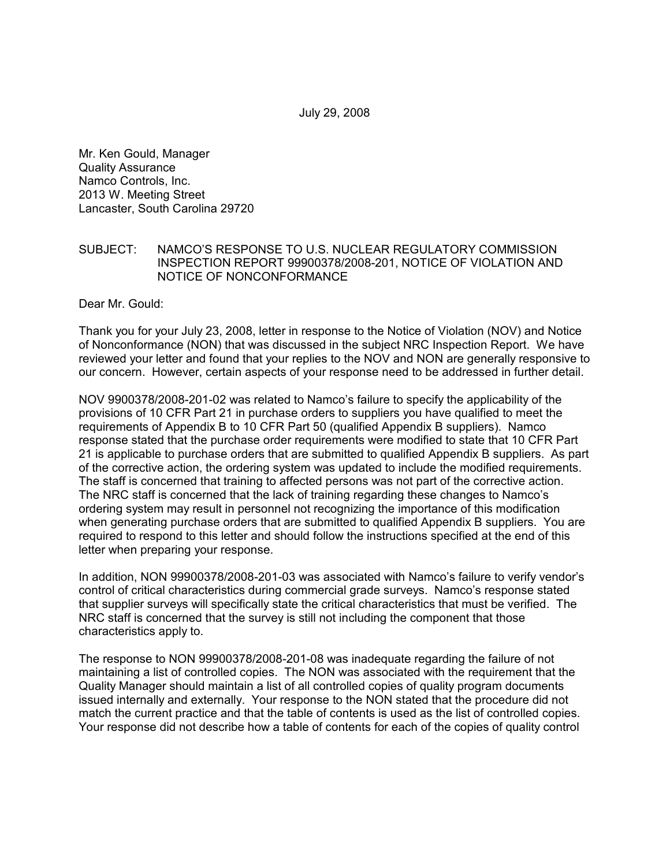July 29, 2008

Mr. Ken Gould, Manager Quality Assurance Namco Controls, Inc. 2013 W. Meeting Street Lancaster, South Carolina 29720

## SUBJECT: NAMCO'S RESPONSE TO U.S. NUCLEAR REGULATORY COMMISSION INSPECTION REPORT 99900378/2008-201, NOTICE OF VIOLATION AND NOTICE OF NONCONFORMANCE

Dear Mr. Gould:

Thank you for your July 23, 2008, letter in response to the Notice of Violation (NOV) and Notice of Nonconformance (NON) that was discussed in the subject NRC Inspection Report. We have reviewed your letter and found that your replies to the NOV and NON are generally responsive to our concern. However, certain aspects of your response need to be addressed in further detail.

NOV 9900378/2008-201-02 was related to Namco's failure to specify the applicability of the provisions of 10 CFR Part 21 in purchase orders to suppliers you have qualified to meet the requirements of Appendix B to 10 CFR Part 50 (qualified Appendix B suppliers). Namco response stated that the purchase order requirements were modified to state that 10 CFR Part 21 is applicable to purchase orders that are submitted to qualified Appendix B suppliers. As part of the corrective action, the ordering system was updated to include the modified requirements. The staff is concerned that training to affected persons was not part of the corrective action. The NRC staff is concerned that the lack of training regarding these changes to Namco's ordering system may result in personnel not recognizing the importance of this modification when generating purchase orders that are submitted to qualified Appendix B suppliers. You are required to respond to this letter and should follow the instructions specified at the end of this letter when preparing your response.

In addition, NON 99900378/2008-201-03 was associated with Namco's failure to verify vendor's control of critical characteristics during commercial grade surveys. Namco's response stated that supplier surveys will specifically state the critical characteristics that must be verified. The NRC staff is concerned that the survey is still not including the component that those characteristics apply to.

The response to NON 99900378/2008-201-08 was inadequate regarding the failure of not maintaining a list of controlled copies. The NON was associated with the requirement that the Quality Manager should maintain a list of all controlled copies of quality program documents issued internally and externally. Your response to the NON stated that the procedure did not match the current practice and that the table of contents is used as the list of controlled copies. Your response did not describe how a table of contents for each of the copies of quality control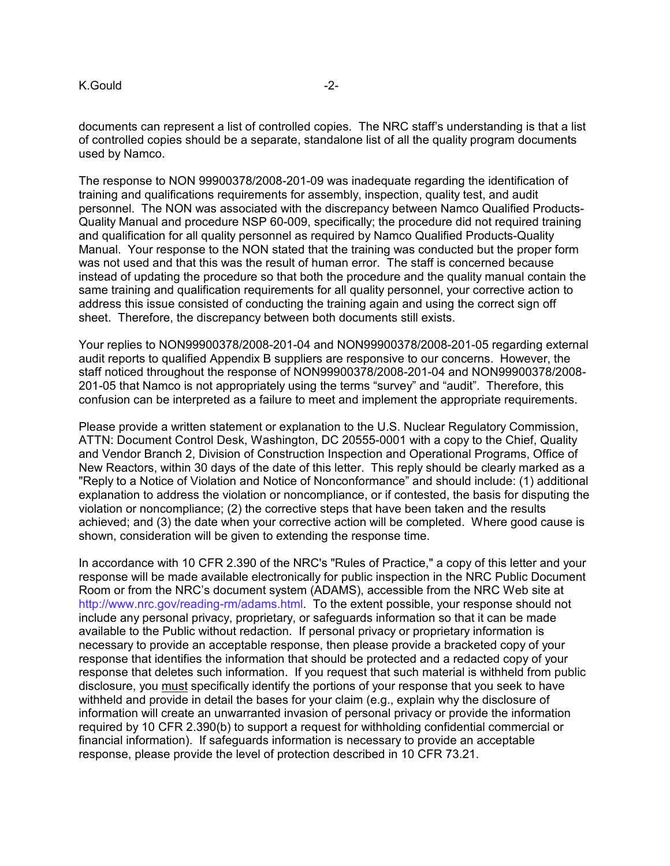documents can represent a list of controlled copies. The NRC staff's understanding is that a list of controlled copies should be a separate, standalone list of all the quality program documents used by Namco.

The response to NON 99900378/2008-201-09 was inadequate regarding the identification of training and qualifications requirements for assembly, inspection, quality test, and audit personnel. The NON was associated with the discrepancy between Namco Qualified Products-Quality Manual and procedure NSP 60-009, specifically; the procedure did not required training and qualification for all quality personnel as required by Namco Qualified Products-Quality Manual. Your response to the NON stated that the training was conducted but the proper form was not used and that this was the result of human error. The staff is concerned because instead of updating the procedure so that both the procedure and the quality manual contain the same training and qualification requirements for all quality personnel, your corrective action to address this issue consisted of conducting the training again and using the correct sign off sheet. Therefore, the discrepancy between both documents still exists.

Your replies to NON99900378/2008-201-04 and NON99900378/2008-201-05 regarding external audit reports to qualified Appendix B suppliers are responsive to our concerns. However, the staff noticed throughout the response of NON99900378/2008-201-04 and NON99900378/2008- 201-05 that Namco is not appropriately using the terms "survey" and "audit". Therefore, this confusion can be interpreted as a failure to meet and implement the appropriate requirements.

Please provide a written statement or explanation to the U.S. Nuclear Regulatory Commission, ATTN: Document Control Desk, Washington, DC 20555-0001 with a copy to the Chief, Quality and Vendor Branch 2, Division of Construction Inspection and Operational Programs, Office of New Reactors, within 30 days of the date of this letter. This reply should be clearly marked as a "Reply to a Notice of Violation and Notice of Nonconformance" and should include: (1) additional explanation to address the violation or noncompliance, or if contested, the basis for disputing the violation or noncompliance; (2) the corrective steps that have been taken and the results achieved; and (3) the date when your corrective action will be completed. Where good cause is shown, consideration will be given to extending the response time.

In accordance with 10 CFR 2.390 of the NRC's "Rules of Practice," a copy of this letter and your response will be made available electronically for public inspection in the NRC Public Document Room or from the NRC's document system (ADAMS), accessible from the NRC Web site at http://www.nrc.gov/reading-rm/adams.html. To the extent possible, your response should not include any personal privacy, proprietary, or safeguards information so that it can be made available to the Public without redaction. If personal privacy or proprietary information is necessary to provide an acceptable response, then please provide a bracketed copy of your response that identifies the information that should be protected and a redacted copy of your response that deletes such information. If you request that such material is withheld from public disclosure, you must specifically identify the portions of your response that you seek to have withheld and provide in detail the bases for your claim (e.g., explain why the disclosure of information will create an unwarranted invasion of personal privacy or provide the information required by 10 CFR 2.390(b) to support a request for withholding confidential commercial or financial information). If safeguards information is necessary to provide an acceptable response, please provide the level of protection described in 10 CFR 73.21.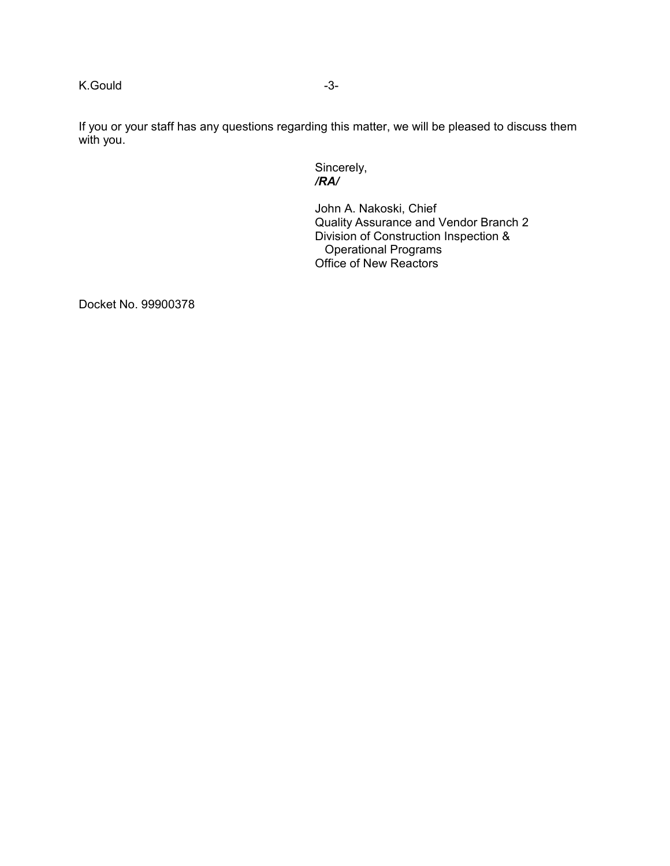K.Gould -3-

If you or your staff has any questions regarding this matter, we will be pleased to discuss them with you.

Sincerely,<br>/**RA**/ */RA/* 

> John A. Nakoski, Chief Quality Assurance and Vendor Branch 2 Division of Construction Inspection & Operational Programs Office of New Reactors

Docket No. 99900378